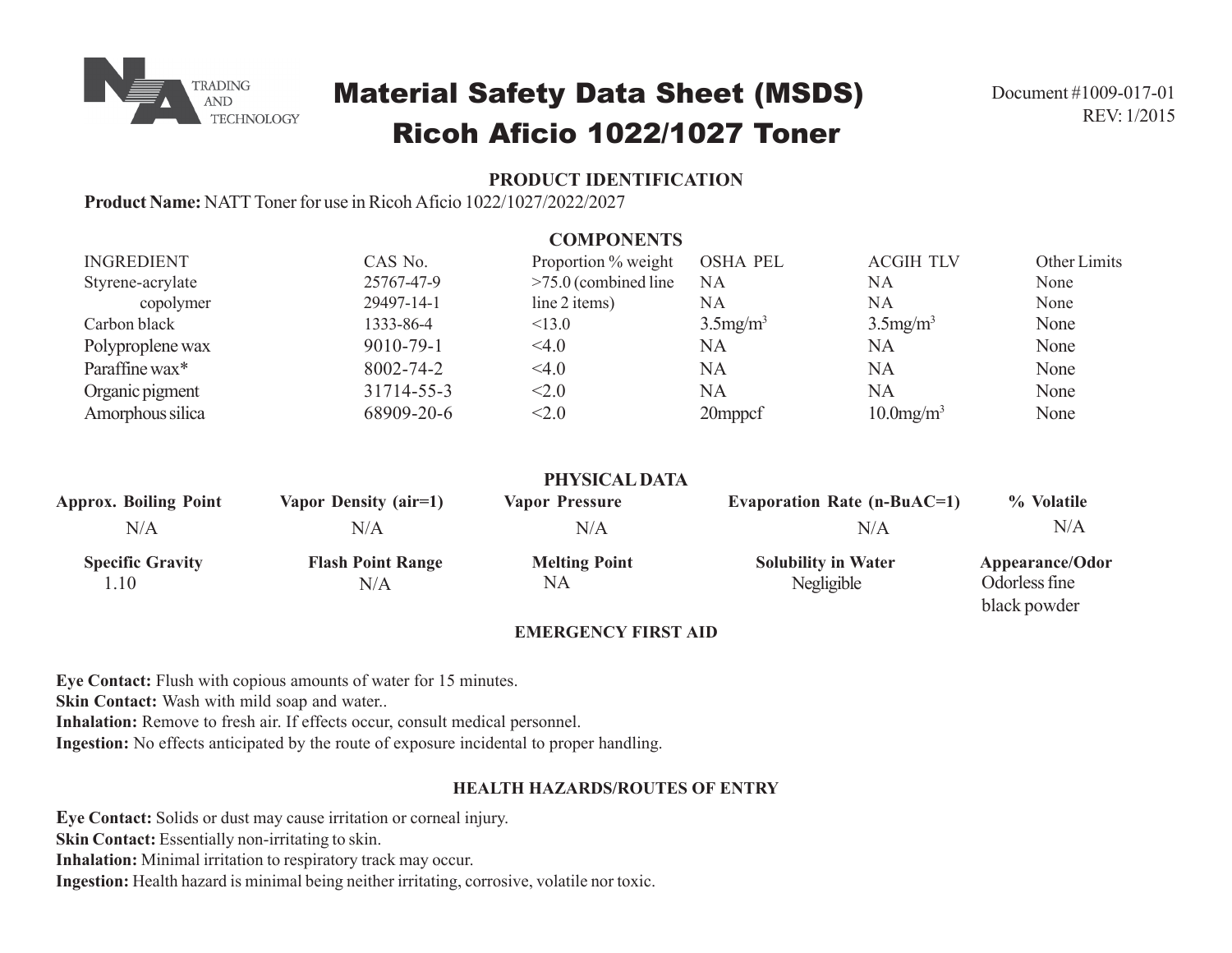

# Material Safety Data Sheet (MSDS) Ricoh Aficio 1022/1027 Toner

## **PRODUCT IDENTIFICATION**

**Product Name:** NATT Toner for use in Ricoh Aficio 1022/1027/2022/2027

|                                 |                                 | <b>COMPONENTS</b>                 |                                          |                                    |                                                  |
|---------------------------------|---------------------------------|-----------------------------------|------------------------------------------|------------------------------------|--------------------------------------------------|
| <b>INGREDIENT</b>               | CAS No.                         | Proportion % weight               | <b>OSHA PEL</b>                          | <b>ACGIH TLV</b>                   | Other Limits                                     |
| Styrene-acrylate                | 25767-47-9                      | $>75.0$ (combined line            | <b>NA</b>                                | <b>NA</b>                          | None                                             |
| copolymer                       | 29497-14-1                      | line 2 items)                     | NA                                       | <b>NA</b>                          | None                                             |
| Carbon black                    | 1333-86-4                       | < 13.0                            | $3.5$ mg/m <sup>3</sup>                  | $3.5$ mg/m <sup>3</sup>            | None                                             |
| Polyproplene wax                | 9010-79-1                       | 4.0                               | <b>NA</b>                                | NA                                 | None                                             |
| Paraffine wax*                  | 8002-74-2                       | <4.0                              | <b>NA</b>                                | <b>NA</b>                          | None                                             |
| Organic pigment                 | 31714-55-3                      | < 2.0                             | <b>NA</b>                                | <b>NA</b>                          | None                                             |
| Amorphous silica                | 68909-20-6                      | < 2.0                             | 20mppcf                                  | $10.0$ mg/m <sup>3</sup>           | None                                             |
|                                 |                                 | PHYSICAL DATA                     |                                          |                                    |                                                  |
| <b>Approx. Boiling Point</b>    | Vapor Density (air=1)           | <b>Vapor Pressure</b>             |                                          | <b>Evaporation Rate (n-BuAC=1)</b> | % Volatile                                       |
| N/A                             | N/A                             | N/A                               |                                          | N/A                                | N/A                                              |
| <b>Specific Gravity</b><br>1.10 | <b>Flash Point Range</b><br>N/A | <b>Melting Point</b><br><b>NA</b> | <b>Solubility in Water</b><br>Negligible |                                    | Appearance/Odor<br>Odorless fine<br>black powder |

### **EMERGENCY FIRST AID**

**Eye Contact:** Flush with copious amounts of water for 15 minutes.

**Skin Contact:** Wash with mild soap and water..

**Inhalation:** Remove to fresh air. If effects occur, consult medical personnel.

**Ingestion:** No effects anticipated by the route of exposure incidental to proper handling.

## **HEALTH HAZARDS/ROUTES OF ENTRY**

**Eye Contact:** Solids or dust may cause irritation or corneal injury. **Skin Contact:** Essentially non-irritating to skin. **Inhalation:** Minimal irritation to respiratory track may occur. **Ingestion:** Health hazard is minimal being neither irritating, corrosive, volatile nor toxic.